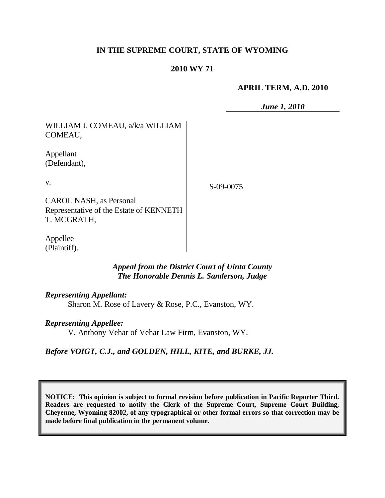# **IN THE SUPREME COURT, STATE OF WYOMING**

## **2010 WY 71**

## **APRIL TERM, A.D. 2010**

*June 1, 2010*

| WILLIAM J. COMEAU, a/k/a WILLIAM<br>COMEAU,                               |           |
|---------------------------------------------------------------------------|-----------|
| Appellant<br>(Defendant),                                                 |           |
| V.                                                                        | S-09-0075 |
| <b>CAROL NASH, as Personal</b><br>Representative of the Estate of KENNETH |           |
| T. MCGRATH,                                                               |           |

Appellee (Plaintiff).

# *Appeal from the District Court of Uinta County The Honorable Dennis L. Sanderson, Judge*

## *Representing Appellant:*

Sharon M. Rose of Lavery & Rose, P.C., Evanston, WY.

### *Representing Appellee:*

V. Anthony Vehar of Vehar Law Firm, Evanston, WY.

### *Before VOIGT, C.J., and GOLDEN, HILL, KITE, and BURKE, JJ.*

**NOTICE: This opinion is subject to formal revision before publication in Pacific Reporter Third. Readers are requested to notify the Clerk of the Supreme Court, Supreme Court Building, Cheyenne, Wyoming 82002, of any typographical or other formal errors so that correction may be made before final publication in the permanent volume.**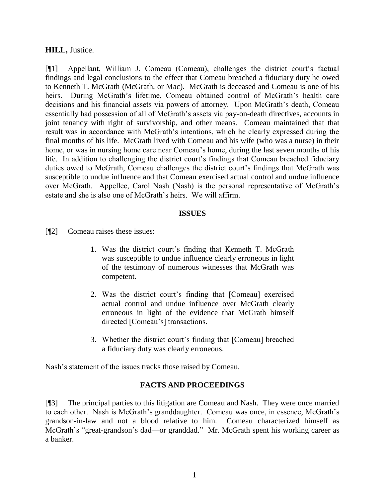## **HILL,** Justice.

[¶1] Appellant, William J. Comeau (Comeau), challenges the district court's factual findings and legal conclusions to the effect that Comeau breached a fiduciary duty he owed to Kenneth T. McGrath (McGrath, or Mac). McGrath is deceased and Comeau is one of his heirs. During McGrath's lifetime, Comeau obtained control of McGrath's health care decisions and his financial assets via powers of attorney. Upon McGrath's death, Comeau essentially had possession of all of McGrath's assets via pay-on-death directives, accounts in joint tenancy with right of survivorship, and other means. Comeau maintained that that result was in accordance with McGrath's intentions, which he clearly expressed during the final months of his life. McGrath lived with Comeau and his wife (who was a nurse) in their home, or was in nursing home care near Comeau's home, during the last seven months of his life. In addition to challenging the district court's findings that Comeau breached fiduciary duties owed to McGrath, Comeau challenges the district court's findings that McGrath was susceptible to undue influence and that Comeau exercised actual control and undue influence over McGrath. Appellee, Carol Nash (Nash) is the personal representative of McGrath's estate and she is also one of McGrath's heirs. We will affirm.

### **ISSUES**

- [¶2] Comeau raises these issues:
	- 1. Was the district court's finding that Kenneth T. McGrath was susceptible to undue influence clearly erroneous in light of the testimony of numerous witnesses that McGrath was competent.
	- 2. Was the district court's finding that [Comeau] exercised actual control and undue influence over McGrath clearly erroneous in light of the evidence that McGrath himself directed [Comeau's] transactions.
	- 3. Whether the district court's finding that [Comeau] breached a fiduciary duty was clearly erroneous.

Nash's statement of the issues tracks those raised by Comeau.

## **FACTS AND PROCEEDINGS**

[¶3] The principal parties to this litigation are Comeau and Nash. They were once married to each other. Nash is McGrath's granddaughter. Comeau was once, in essence, McGrath's grandson-in-law and not a blood relative to him. Comeau characterized himself as McGrath's "great-grandson's dad—or granddad." Mr. McGrath spent his working career as a banker.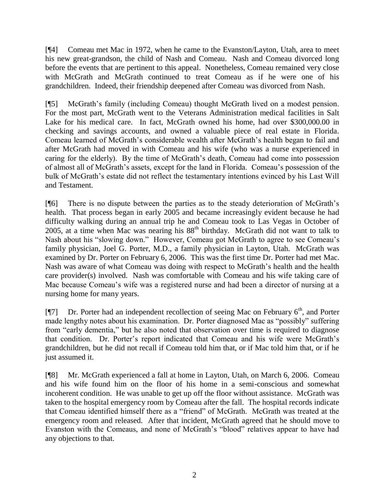[¶4] Comeau met Mac in 1972, when he came to the Evanston/Layton, Utah, area to meet his new great-grandson, the child of Nash and Comeau. Nash and Comeau divorced long before the events that are pertinent to this appeal. Nonetheless, Comeau remained very close with McGrath and McGrath continued to treat Comeau as if he were one of his grandchildren. Indeed, their friendship deepened after Comeau was divorced from Nash.

[¶5] McGrath's family (including Comeau) thought McGrath lived on a modest pension. For the most part, McGrath went to the Veterans Administration medical facilities in Salt Lake for his medical care. In fact, McGrath owned his home, had over \$300,000.00 in checking and savings accounts, and owned a valuable piece of real estate in Florida. Comeau learned of McGrath's considerable wealth after McGrath's health began to fail and after McGrath had moved in with Comeau and his wife (who was a nurse experienced in caring for the elderly). By the time of McGrath's death, Comeau had come into possession of almost all of McGrath's assets, except for the land in Florida. Comeau's possession of the bulk of McGrath's estate did not reflect the testamentary intentions evinced by his Last Will and Testament.

[¶6] There is no dispute between the parties as to the steady deterioration of McGrath's health. That process began in early 2005 and became increasingly evident because he had difficulty walking during an annual trip he and Comeau took to Las Vegas in October of 2005, at a time when Mac was nearing his  $88<sup>th</sup>$  birthday. McGrath did not want to talk to Nash about his "slowing down." However, Comeau got McGrath to agree to see Comeau's family physician, Joel G. Porter, M.D., a family physician in Layton, Utah. McGrath was examined by Dr. Porter on February 6, 2006. This was the first time Dr. Porter had met Mac. Nash was aware of what Comeau was doing with respect to McGrath's health and the health care provider(s) involved. Nash was comfortable with Comeau and his wife taking care of Mac because Comeau's wife was a registered nurse and had been a director of nursing at a nursing home for many years.

[¶7] Dr. Porter had an independent recollection of seeing Mac on February 6<sup>th</sup>, and Porter made lengthy notes about his examination. Dr. Porter diagnosed Mac as "possibly" suffering from "early dementia," but he also noted that observation over time is required to diagnose that condition. Dr. Porter's report indicated that Comeau and his wife were McGrath's grandchildren, but he did not recall if Comeau told him that, or if Mac told him that, or if he just assumed it.

[¶8] Mr. McGrath experienced a fall at home in Layton, Utah, on March 6, 2006. Comeau and his wife found him on the floor of his home in a semi-conscious and somewhat incoherent condition. He was unable to get up off the floor without assistance. McGrath was taken to the hospital emergency room by Comeau after the fall. The hospital records indicate that Comeau identified himself there as a "friend" of McGrath. McGrath was treated at the emergency room and released. After that incident, McGrath agreed that he should move to Evanston with the Comeaus, and none of McGrath's "blood" relatives appear to have had any objections to that.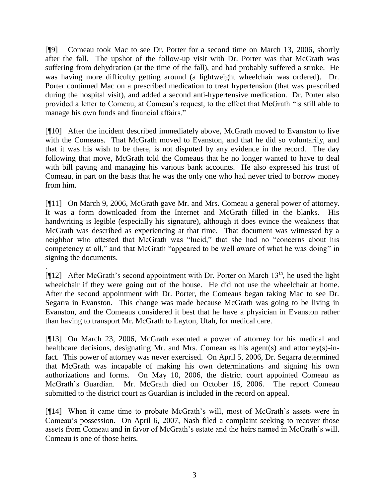[¶9] Comeau took Mac to see Dr. Porter for a second time on March 13, 2006, shortly after the fall. The upshot of the follow-up visit with Dr. Porter was that McGrath was suffering from dehydration (at the time of the fall), and had probably suffered a stroke. He was having more difficulty getting around (a lightweight wheelchair was ordered). Dr. Porter continued Mac on a prescribed medication to treat hypertension (that was prescribed during the hospital visit), and added a second anti-hypertensive medication. Dr. Porter also provided a letter to Comeau, at Comeau's request, to the effect that McGrath "is still able to manage his own funds and financial affairs."

[¶10] After the incident described immediately above, McGrath moved to Evanston to live with the Comeaus. That McGrath moved to Evanston, and that he did so voluntarily, and that it was his wish to be there, is not disputed by any evidence in the record. The day following that move, McGrath told the Comeaus that he no longer wanted to have to deal with bill paying and managing his various bank accounts. He also expressed his trust of Comeau, in part on the basis that he was the only one who had never tried to borrow money from him.

[¶11] On March 9, 2006, McGrath gave Mr. and Mrs. Comeau a general power of attorney. It was a form downloaded from the Internet and McGrath filled in the blanks. His handwriting is legible (especially his signature), although it does evince the weakness that McGrath was described as experiencing at that time. That document was witnessed by a neighbor who attested that McGrath was "lucid," that she had no "concerns about his competency at all," and that McGrath "appeared to be well aware of what he was doing" in signing the documents.

[ $[12]$  After McGrath's second appointment with Dr. Porter on March 13<sup>th</sup>, he used the light wheelchair if they were going out of the house. He did not use the wheelchair at home. After the second appointment with Dr. Porter, the Comeaus began taking Mac to see Dr. Segarra in Evanston. This change was made because McGrath was going to be living in Evanston, and the Comeaus considered it best that he have a physician in Evanston rather than having to transport Mr. McGrath to Layton, Utah, for medical care.

.

[¶13] On March 23, 2006, McGrath executed a power of attorney for his medical and healthcare decisions, designating Mr. and Mrs. Comeau as his agent(s) and attorney(s)-infact. This power of attorney was never exercised. On April 5, 2006, Dr. Segarra determined that McGrath was incapable of making his own determinations and signing his own authorizations and forms. On May 10, 2006, the district court appointed Comeau as McGrath's Guardian. Mr. McGrath died on October 16, 2006. The report Comeau submitted to the district court as Guardian is included in the record on appeal.

[¶14] When it came time to probate McGrath's will, most of McGrath's assets were in Comeau's possession. On April 6, 2007, Nash filed a complaint seeking to recover those assets from Comeau and in favor of McGrath's estate and the heirs named in McGrath's will. Comeau is one of those heirs.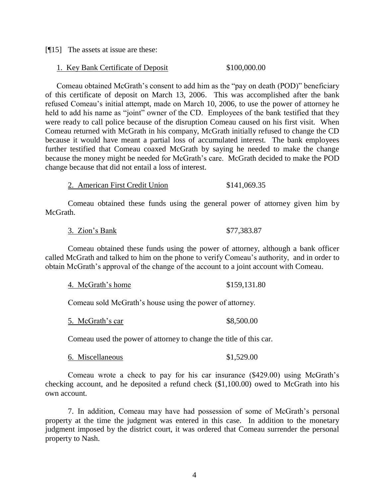[¶15] The assets at issue are these:

#### 1. Key Bank Certificate of Deposit \$100,000.00

Comeau obtained McGrath's consent to add him as the "pay on death (POD)" beneficiary of this certificate of deposit on March 13, 2006. This was accomplished after the bank refused Comeau's initial attempt, made on March 10, 2006, to use the power of attorney he held to add his name as "joint" owner of the CD. Employees of the bank testified that they were ready to call police because of the disruption Comeau caused on his first visit. When Comeau returned with McGrath in his company, McGrath initially refused to change the CD because it would have meant a partial loss of accumulated interest. The bank employees further testified that Comeau coaxed McGrath by saying he needed to make the change because the money might be needed for McGrath's care. McGrath decided to make the POD change because that did not entail a loss of interest.

2. American First Credit Union \$141,069.35

Comeau obtained these funds using the general power of attorney given him by McGrath.

3. Zion's Bank \$77,383.87

Comeau obtained these funds using the power of attorney, although a bank officer called McGrath and talked to him on the phone to verify Comeau's authority, and in order to obtain McGrath's approval of the change of the account to a joint account with Comeau.

|  | 4. McGrath's home | \$159,131.80 |
|--|-------------------|--------------|
|--|-------------------|--------------|

Comeau sold McGrath's house using the power of attorney.

5. McGrath's car  $$8,500.00$ 

Comeau used the power of attorney to change the title of this car.

6. Miscellaneous \$1,529.00

Comeau wrote a check to pay for his car insurance (\$429.00) using McGrath's checking account, and he deposited a refund check (\$1,100.00) owed to McGrath into his own account.

7. In addition, Comeau may have had possession of some of McGrath's personal property at the time the judgment was entered in this case. In addition to the monetary judgment imposed by the district court, it was ordered that Comeau surrender the personal property to Nash.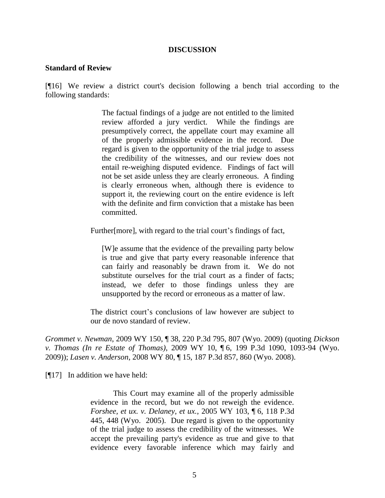#### **DISCUSSION**

#### **Standard of Review**

[¶16] We review a district court's decision following a bench trial according to the following standards:

> The factual findings of a judge are not entitled to the limited review afforded a jury verdict. While the findings are presumptively correct, the appellate court may examine all of the properly admissible evidence in the record. Due regard is given to the opportunity of the trial judge to assess the credibility of the witnesses, and our review does not entail re-weighing disputed evidence. Findings of fact will not be set aside unless they are clearly erroneous. A finding is clearly erroneous when, although there is evidence to support it, the reviewing court on the entire evidence is left with the definite and firm conviction that a mistake has been committed.

Further[more], with regard to the trial court's findings of fact,

[W]e assume that the evidence of the prevailing party below is true and give that party every reasonable inference that can fairly and reasonably be drawn from it. We do not substitute ourselves for the trial court as a finder of facts; instead, we defer to those findings unless they are unsupported by the record or erroneous as a matter of law.

The district court's conclusions of law however are subject to our de novo standard of review.

*Grommet v. Newman*, 2009 WY 150, ¶ 38, 220 P.3d 795, 807 (Wyo. 2009) (quoting *Dickson v. Thomas (In re Estate of Thomas)*, 2009 WY 10, ¶ 6, 199 P.3d 1090, 1093-94 (Wyo. 2009)); *Lasen v. Anderson*, 2008 WY 80, ¶ 15, 187 P.3d 857, 860 (Wyo. 2008).

[¶17] In addition we have held:

This Court may examine all of the properly admissible evidence in the record, but we do not reweigh the evidence. *Forshee, et ux. v. Delaney, et ux.*, 2005 WY 103, ¶ 6, 118 P.3d 445, 448 (Wyo. 2005). Due regard is given to the opportunity of the trial judge to assess the credibility of the witnesses. We accept the prevailing party's evidence as true and give to that evidence every favorable inference which may fairly and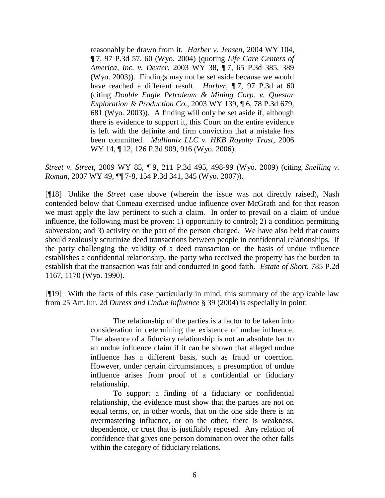reasonably be drawn from it. *Harber v. Jensen*, 2004 WY 104, ¶ 7, 97 P.3d 57, 60 (Wyo. 2004) (quoting *Life Care Centers of America, Inc. v. Dexter*, 2003 WY 38, ¶ 7, 65 P.3d 385, 389 (Wyo. 2003)). Findings may not be set aside because we would have reached a different result. *Harber*, ¶ 7, 97 P.3d at 60 (citing *Double Eagle Petroleum & Mining Corp. v. Questar Exploration & Production Co.*, 2003 WY 139, ¶ 6, 78 P.3d 679, 681 (Wyo. 2003)). A finding will only be set aside if, although there is evidence to support it, this Court on the entire evidence is left with the definite and firm conviction that a mistake has been committed. *Mullinnix LLC v. HKB Royalty Trust*, 2006 WY 14, ¶ 12, 126 P.3d 909, 916 (Wyo. 2006).

*Street v. Street*, 2009 WY 85, ¶ 9, 211 P.3d 495, 498-99 (Wyo. 2009) (citing *Snelling v. Roman*, 2007 WY 49, ¶¶ 7-8, 154 P.3d 341, 345 (Wyo. 2007)).

[¶18] Unlike the *Street* case above (wherein the issue was not directly raised), Nash contended below that Comeau exercised undue influence over McGrath and for that reason we must apply the law pertinent to such a claim. In order to prevail on a claim of undue influence, the following must be proven: 1) opportunity to control; 2) a condition permitting subversion; and 3) activity on the part of the person charged. We have also held that courts should zealously scrutinize deed transactions between people in confidential relationships. If the party challenging the validity of a deed transaction on the basis of undue influence establishes a confidential relationship, the party who received the property has the burden to establish that the transaction was fair and conducted in good faith. *Estate of Short*, 785 P.2d 1167, 1170 (Wyo. 1990).

[¶19] With the facts of this case particularly in mind, this summary of the applicable law from 25 Am.Jur. 2d *Duress and Undue Influence* § 39 (2004) is especially in point:

> The relationship of the parties is a factor to be taken into consideration in determining the existence of undue influence. The absence of a fiduciary relationship is not an absolute bar to an undue influence claim if it can be shown that alleged undue influence has a different basis, such as fraud or coercion. However, under certain circumstances, a presumption of undue influence arises from proof of a confidential or fiduciary relationship.

> To support a finding of a fiduciary or confidential relationship, the evidence must show that the parties are not on equal terms, or, in other words, that on the one side there is an overmastering influence, or on the other, there is weakness, dependence, or trust that is justifiably reposed. Any relation of confidence that gives one person domination over the other falls within the category of fiduciary relations.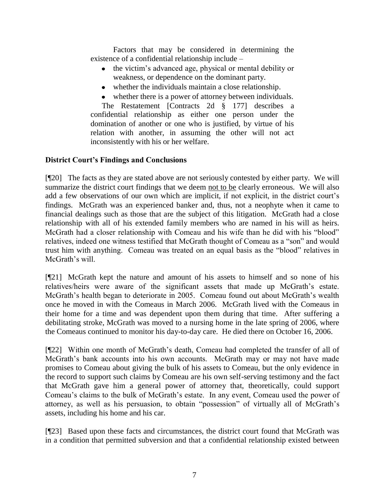Factors that may be considered in determining the existence of a confidential relationship include –

- the victim's advanced age, physical or mental debility or weakness, or dependence on the dominant party.
- whether the individuals maintain a close relationship.
- whether there is a power of attorney between individuals.

The Restatement [Contracts 2d § 177] describes a confidential relationship as either one person under the domination of another or one who is justified, by virtue of his relation with another, in assuming the other will not act inconsistently with his or her welfare.

## **District Court's Findings and Conclusions**

[¶20] The facts as they are stated above are not seriously contested by either party. We will summarize the district court findings that we deem not to be clearly erroneous. We will also add a few observations of our own which are implicit, if not explicit, in the district court's findings. McGrath was an experienced banker and, thus, not a neophyte when it came to financial dealings such as those that are the subject of this litigation. McGrath had a close relationship with all of his extended family members who are named in his will as heirs. McGrath had a closer relationship with Comeau and his wife than he did with his "blood" relatives, indeed one witness testified that McGrath thought of Comeau as a "son" and would trust him with anything. Comeau was treated on an equal basis as the "blood" relatives in McGrath's will.

[¶21] McGrath kept the nature and amount of his assets to himself and so none of his relatives/heirs were aware of the significant assets that made up McGrath's estate. McGrath's health began to deteriorate in 2005. Comeau found out about McGrath's wealth once he moved in with the Comeaus in March 2006. McGrath lived with the Comeaus in their home for a time and was dependent upon them during that time. After suffering a debilitating stroke, McGrath was moved to a nursing home in the late spring of 2006, where the Comeaus continued to monitor his day-to-day care. He died there on October 16, 2006.

[¶22] Within one month of McGrath's death, Comeau had completed the transfer of all of McGrath's bank accounts into his own accounts. McGrath may or may not have made promises to Comeau about giving the bulk of his assets to Comeau, but the only evidence in the record to support such claims by Comeau are his own self-serving testimony and the fact that McGrath gave him a general power of attorney that, theoretically, could support Comeau's claims to the bulk of McGrath's estate. In any event, Comeau used the power of attorney, as well as his persuasion, to obtain "possession" of virtually all of McGrath's assets, including his home and his car.

[¶23] Based upon these facts and circumstances, the district court found that McGrath was in a condition that permitted subversion and that a confidential relationship existed between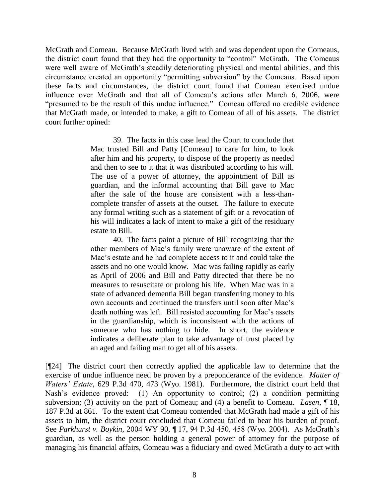McGrath and Comeau. Because McGrath lived with and was dependent upon the Comeaus, the district court found that they had the opportunity to "control" McGrath. The Comeaus were well aware of McGrath's steadily deteriorating physical and mental abilities, and this circumstance created an opportunity "permitting subversion" by the Comeaus. Based upon these facts and circumstances, the district court found that Comeau exercised undue influence over McGrath and that all of Comeau's actions after March 6, 2006, were "presumed to be the result of this undue influence." Comeau offered no credible evidence that McGrath made, or intended to make, a gift to Comeau of all of his assets. The district court further opined:

> 39. The facts in this case lead the Court to conclude that Mac trusted Bill and Patty [Comeau] to care for him, to look after him and his property, to dispose of the property as needed and then to see to it that it was distributed according to his will. The use of a power of attorney, the appointment of Bill as guardian, and the informal accounting that Bill gave to Mac after the sale of the house are consistent with a less-thancomplete transfer of assets at the outset. The failure to execute any formal writing such as a statement of gift or a revocation of his will indicates a lack of intent to make a gift of the residuary estate to Bill.

> 40. The facts paint a picture of Bill recognizing that the other members of Mac's family were unaware of the extent of Mac's estate and he had complete access to it and could take the assets and no one would know. Mac was failing rapidly as early as April of 2006 and Bill and Patty directed that there be no measures to resuscitate or prolong his life. When Mac was in a state of advanced dementia Bill began transferring money to his own accounts and continued the transfers until soon after Mac's death nothing was left. Bill resisted accounting for Mac's assets in the guardianship, which is inconsistent with the actions of someone who has nothing to hide. In short, the evidence indicates a deliberate plan to take advantage of trust placed by an aged and failing man to get all of his assets.

[¶24] The district court then correctly applied the applicable law to determine that the exercise of undue influence need be proven by a preponderance of the evidence. *Matter of Waters' Estate*, 629 P.3d 470, 473 (Wyo. 1981). Furthermore, the district court held that Nash's evidence proved: (1) An opportunity to control; (2) a condition permitting subversion; (3) activity on the part of Comeau; and (4) a benefit to Comeau. *Lasen*, ¶ 18, 187 P.3d at 861. To the extent that Comeau contended that McGrath had made a gift of his assets to him, the district court concluded that Comeau failed to bear his burden of proof. See *Parkhurst v. Boykin*, 2004 WY 90, ¶ 17, 94 P.3d 450, 458 (Wyo. 2004). As McGrath's guardian, as well as the person holding a general power of attorney for the purpose of managing his financial affairs, Comeau was a fiduciary and owed McGrath a duty to act with